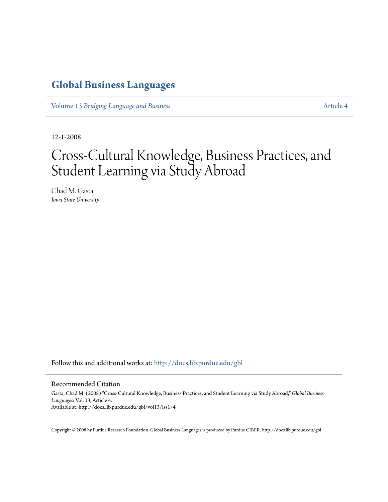# **[Global Business Languages](http://docs.lib.purdue.edu/gbl?utm_source=docs.lib.purdue.edu%2Fgbl%2Fvol13%2Fiss1%2F4&utm_medium=PDF&utm_campaign=PDFCoverPages)**

Volume 13 *[Bridging Language and Business](http://docs.lib.purdue.edu/gbl/vol13?utm_source=docs.lib.purdue.edu%2Fgbl%2Fvol13%2Fiss1%2F4&utm_medium=PDF&utm_campaign=PDFCoverPages)* [Article 4](http://docs.lib.purdue.edu/gbl/vol13/iss1/4?utm_source=docs.lib.purdue.edu%2Fgbl%2Fvol13%2Fiss1%2F4&utm_medium=PDF&utm_campaign=PDFCoverPages)

12-1-2008

# Cross-Cultural Knowledge, Business Practices, and Student Learning via Study Abroad

Chad M. Gasta *Iowa State University*

Follow this and additional works at: [http://docs.lib.purdue.edu/gbl](http://docs.lib.purdue.edu/gbl?utm_source=docs.lib.purdue.edu%2Fgbl%2Fvol13%2Fiss1%2F4&utm_medium=PDF&utm_campaign=PDFCoverPages)

#### Recommended Citation

Gasta, Chad M. (2008) "Cross-Cultural Knowledge, Business Practices, and Student Learning via Study Abroad," *Global Business Languages*: Vol. 13, Article 4. Available at: http://docs.lib.purdue.edu/gbl/vol13/iss1/4

Copyright © 2008 by Purdue Research Foundation. Global Business Languages is produced by Purdue CIBER. http://docs.lib.purdue.edu/gbl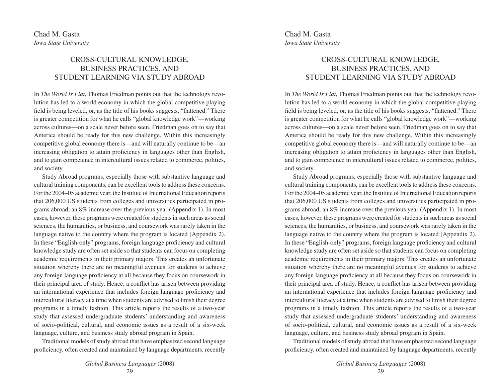# CROSS-CULTURAL KNOWLEDGE, BUSINESS PRACTICES, AND STUDENT LEARNING VIA STUDY ABROAD

In *The World Is Flat*, Thomas Friedman points out that the technology revolution has led to a world economy in which the global competitive playing field is being leveled, or, as the title of his books suggests, "flattened." There is greater competition for what he calls "global knowledge work"—working across cultures—on a scale never before seen. Friedman goes on to say that America should be ready for this new challenge. Within this increasingly competitive global economy there is—and will naturally continue to be—an increasing obligation to attain proficiency in languages other than English, and to gain competence in intercultural issues related to commerce, politics, and society.

Study Abroad programs, especially those with substantive language and cultural training components, can be excellent tools to address these concerns. For the 2004–05 academic year, the Institute of International Education reports that 206,000 US students from colleges and universities participated in programs abroad, an 8% increase over the previous year (Appendix 1). In most cases, however, these programs were created for students in such areas as social sciences, the humanities, or business, and coursework was rarely taken in the language native to the country where the program is located (Appendix 2). In these "English-only" programs, foreign language proficiency and cultural knowledge study are often set aside so that students can focus on completing academic requirements in their primary majors. This creates an unfortunate situation whereby there are no meaningful avenues for students to achieve any foreign language proficiency at all because they focus on coursework in their principal area of study. Hence, a conflict has arisen between providing an international experience that includes foreign language proficiency and intercultural literacy at a time when students are advised to finish their degree programs in a timely fashion. This article reports the results of a two-year study that assessed undergraduate students' understanding and awareness of socio-political, cultural, and economic issues as a result of a six-week language, culture, and business study abroad program in Spain.

Traditional models of study abroad that have emphasized second language proficiency, often created and maintained by language departments, recently

> *Global Business Languages* (2008) 29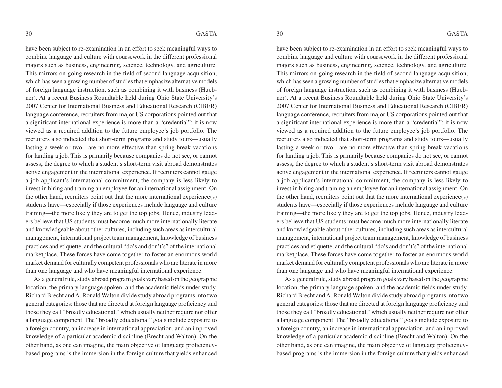have been subject to re-examination in an effort to seek meaningful ways to combine language and culture with coursework in the different professional majors such as business, engineering, science, technology, and agriculture. This mirrors on-going research in the field of second language acquisition, which has seen a growing number of studies that emphasize alternative models of foreign language instruction, such as combining it with business (Huebner). At a recent Business Roundtable held during Ohio State University's 2007 Center for International Business and Educational Research (CIBER) language conference, recruiters from major US corporations pointed out that a significant international experience is more than a "credential"; it is now viewed as a required addition to the future employee's job portfolio. The recruiters also indicated that short-term programs and study tours—usually lasting a week or two—are no more effective than spring break vacations for landing a job. This is primarily because companies do not see, or cannot assess, the degree to which a student's short-term visit abroad demonstrates active engagement in the international experience. If recruiters cannot gauge a job applicant's international commitment, the company is less likely to invest in hiring and training an employee for an international assignment. On the other hand, recruiters point out that the more international experience(s) students have—especially if those experiences include language and culture training—the more likely they are to get the top jobs. Hence, industry leaders believe that US students must become much more internationally literate and knowledgeable about other cultures, including such areas as intercultural management, international project team management, knowledge of business practices and etiquette, and the cultural "do's and don't's" of the international marketplace. These forces have come together to foster an enormous world market demand for culturally competent professionals who are literate in more than one language and who have meaningful international experience.

As a general rule, study abroad program goals vary based on the geographic location, the primary language spoken, and the academic fields under study. Richard Brecht and A. Ronald Walton divide study abroad programs into two general categories: those that are directed at foreign language proficiency and those they call "broadly educational," which usually neither require nor offer a language component. The "broadly educational" goals include exposure to a foreign country, an increase in international appreciation, and an improved knowledge of a particular academic discipline (Brecht and Walton). On the other hand, as one can imagine, the main objective of language proficiencybased programs is the immersion in the foreign culture that yields enhanced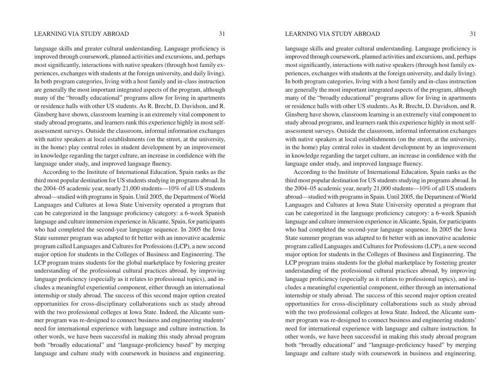language skills and greater cultural understanding. Language proficiency is improved through coursework, planned activities and excursions, and, perhaps most significantly, interactions with native speakers (through host family experiences, exchanges with students at the foreign university, and daily living). In both program categories, living with a host family and in-class instruction are generally the most important integrated aspects of the program, although many of the "broadly educational" programs allow for living in apartments or residence halls with other US students. As R. Brecht, D. Davidson, and R. Ginsberg have shown, classroom learning is an extremely vital component to study abroad programs, and learners rank this experience highly in most selfassessment surveys. Outside the classroom, informal information exchanges with native speakers at local establishments (on the street, at the university, in the home) play central roles in student development by an improvement in knowledge regarding the target culture, an increase in confidence with the language under study, and improved language fluency.

According to the Institute of International Education, Spain ranks as the third most popular destination for US students studying in programs abroad. In the 2004–05 academic year, nearly 21,000 students—10% of all US students abroad—studied with programs in Spain. Until 2005, the Department of World Languages and Cultures at Iowa State University operated a program that can be categorized in the language proficiency category: a 6-week Spanish language and culture immersion experience in Alicante, Spain, for participants who had completed the second-year language sequence. In 2005 the Iowa State summer program was adapted to fit better with an innovative academic program called Languages and Cultures for Professions (LCP), a new second major option for students in the Colleges of Business and Engineering. The LCP program trains students for the global marketplace by fostering greater understanding of the professional cultural practices abroad, by improving language proficiency (especially as it relates to professional topics), and includes a meaningful experiential component, either through an international internship or study abroad. The success of this second major option created opportunities for cross-disciplinary collaborations such as study abroad with the two professional colleges at Iowa State. Indeed, the Alicante summer program was re-designed to connect business and engineering students' need for international experience with language and culture instruction. In other words, we have been successful in making this study abroad program both "broadly educational" and "language-proficiency based" by merging language and culture study with coursework in business and engineering.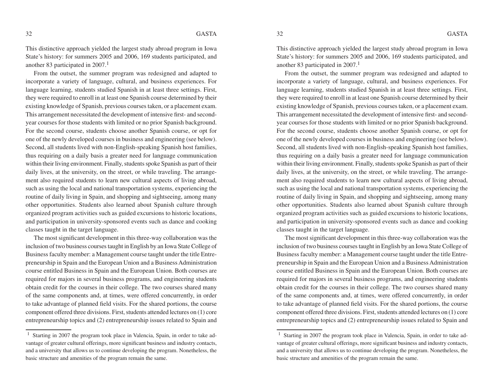This distinctive approach yielded the largest study abroad program in Iowa State's history: for summers 2005 and 2006, 169 students participated, and another 83 participated in  $2007<sup>1</sup>$ 

From the outset, the summer program was redesigned and adapted to incorporate a variety of language, cultural, and business experiences. For language learning, students studied Spanish in at least three settings. First, they were required to enroll in at least one Spanish course determined by their existing knowledge of Spanish, previous courses taken, or a placement exam. This arrangement necessitated the development of intensive first- and secondyear courses for those students with limited or no prior Spanish background. For the second course, students choose another Spanish course, or opt for one of the newly developed courses in business and engineering (see below). Second, all students lived with non-English-speaking Spanish host families, thus requiring on a daily basis a greater need for language communication within their living environment. Finally, students spoke Spanish as part of their daily lives, at the university, on the street, or while traveling. The arrangement also required students to learn new cultural aspects of living abroad, such as using the local and national transportation systems, experiencing the routine of daily living in Spain, and shopping and sightseeing, among many other opportunities. Students also learned about Spanish culture through organized program activities such as guided excursions to historic locations, and participation in university-sponsored events such as dance and cooking classes taught in the target language.

The most significant development in this three-way collaboration was the inclusion of two business courses taught in English by an Iowa State College of Business faculty member: a Management course taught under the title Entrepreneurship in Spain and the European Union and a Business Administration course entitled Business in Spain and the European Union. Both courses are required for majors in several business programs, and engineering students obtain credit for the courses in their college. The two courses shared many of the same components and, at times, were offered concurrently, in order to take advantage of planned field visits. For the shared portions, the course component offered three divisions. First, students attended lectures on (1) core entrepreneurship topics and (2) entrepreneurship issues related to Spain and

<sup>&</sup>lt;sup>1</sup> Starting in 2007 the program took place in Valencia, Spain, in order to take advantage of greater cultural offerings, more significant business and industry contacts, and a university that allows us to continue developing the program. Nonetheless, the basic structure and amenities of the program remain the same.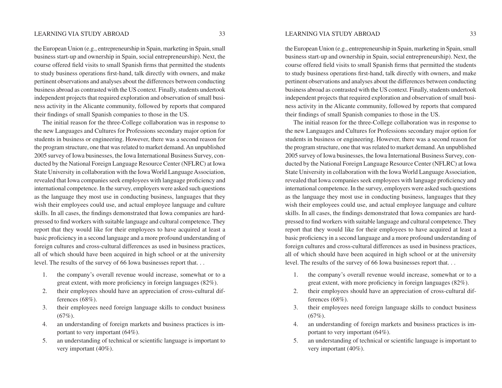the European Union (e.g., entrepreneurship in Spain, marketing in Spain, small business start-up and ownership in Spain, social entrepreneurship). Next, the course offered field visits to small Spanish firms that permitted the students to study business operations first-hand, talk directly with owners, and make pertinent observations and analyses about the differences between conducting business abroad as contrasted with the US context. Finally, students undertook independent projects that required exploration and observation of small business activity in the Alicante community, followed by reports that compared their findings of small Spanish companies to those in the US.

The initial reason for the three-College collaboration was in response to the new Languages and Cultures for Professions secondary major option for students in business or engineering. However, there was a second reason for the program structure, one that was related to market demand. An unpublished 2005 survey of Iowa businesses, the Iowa International Business Survey, conducted by the National Foreign Language Resource Center (NFLRC) at Iowa State University in collaboration with the Iowa World Language Association, revealed that Iowa companies seek employees with language proficiency and international competence. In the survey, employers were asked such questions as the language they most use in conducting business, languages that they wish their employees could use, and actual employee language and culture skills. In all cases, the findings demonstrated that Iowa companies are hardpressed to find workers with suitable language and cultural competence. They report that they would like for their employees to have acquired at least a basic proficiency in a second language and a more profound understanding of foreign cultures and cross-cultural differences as used in business practices, all of which should have been acquired in high school or at the university level. The results of the survey of 66 Iowa businesses report that. . .

- 1. the company's overall revenue would increase, somewhat or to a great extent, with more proficiency in foreign languages (82%).
- 2. their employees should have an appreciation of cross-cultural differences (68%).
- 3. their employees need foreign language skills to conduct business  $(67\%)$ .
- 4. an understanding of foreign markets and business practices is important to very important (64%).
- 5. an understanding of technical or scientific language is important to very important (40%).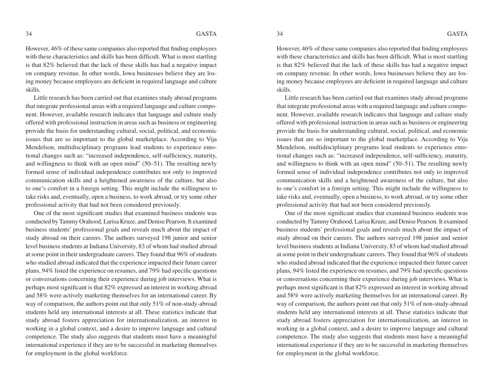However, 46% of these same companies also reported that finding employees with these characteristics and skills has been difficult. What is most startling is that 82% believed that the lack of these skills has had a negative impact on company revenue. In other words, Iowa businesses believe they are losing money because employees are deficient in required language and culture skills.

Little research has been carried out that examines study abroad programs that integrate professional areas with a required language and culture component. However, available research indicates that language and culture study offered with professional instruction in areas such as business or engineering provide the basis for understanding cultural, social, political, and economic issues that are so important to the global marketplace. According to Vija Mendelson, multidisciplinary programs lead students to experience emotional changes such as: "increased independence, self-sufficiency, maturity, and willingness to think with an open mind" (50–51). The resulting newly formed sense of individual independence contributes not only to improved communication skills and a heightened awareness of the culture, but also to one's comfort in a foreign setting. This might include the willingness to take risks and, eventually, open a business, to work abroad, or try some other professional activity that had not been considered previously.

One of the most significant studies that examined business students was conducted by Tammy Orahood, Larisa Kruze, and Denise Pearson. It examined business students' professional goals and reveals much about the impact of study abroad on their careers. The authors surveyed 198 junior and senior level business students at Indiana University, 83 of whom had studied abroad at some point in their undergraduate careers. They found that 96% of students who studied abroad indicated that the experience impacted their future career plans,  $94\%$  listed the experience on resumes, and  $79\%$  had specific questions or conversations concerning their experience during job interviews. What is perhaps most significant is that 82% expressed an interest in working abroad and 58% were actively marketing themselves for an international career. By way of comparison, the authors point out that only 51% of non-study-abroad students held any international interests at all. These statistics indicate that study abroad fosters appreciation for internationalization, an interest in working in a global context, and a desire to improve language and cultural competence. The study also suggests that students must have a meaningful international experience if they are to be successful in marketing themselves for employment in the global workforce.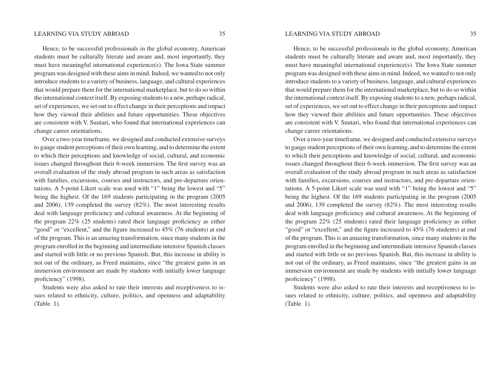Hence, to be successful professionals in the global economy, American students must be culturally literate and aware and, most importantly, they must have meaningful international experience(s). The Iowa State summer program was designed with these aims in mind. Indeed, we wanted to not only introduce students to a variety of business, language, and cultural experiences that would prepare them for the international marketplace, but to do so within the international context itself. By exposing students to a new, perhaps radical, set of experiences, we set out to effect change in their perceptions and impact how they viewed their abilities and future opportunities. These objectives are consistent with V. Suutari, who found that international experiences can change career orientations.

Over a two-year timeframe, we designed and conducted extensive surveys to gauge student perceptions of their own learning, and to determine the extent to which their perceptions and knowledge of social, cultural, and economic issues changed throughout their 6-week immersion. The first survey was an overall evaluation of the study abroad program in such areas as satisfaction with families, excursions, courses and instructors, and pre-departure orientations. A 5-point Likert scale was used with "1" being the lowest and "5" being the highest. Of the 169 students participating in the program (2005 and 2006), 139 completed the survey (82%). The most interesting results deal with language proficiency and cultural awareness. At the beginning of the program  $22\%$  (25 students) rated their language proficiency as either "good" or "excellent," and the figure increased to  $45\%$  (76 students) at end of the program. This is an amazing transformation, since many students in the program enrolled in the beginning and intermediate intensive Spanish classes and started with little or no previous Spanish. But, this increase in ability is not out of the ordinary, as Freed maintains, since "the greatest gains in an immersion environment are made by students with initially lower language proficiency" (1998).

Students were also asked to rate their interests and receptiveness to issues related to ethnicity, culture, politics, and openness and adaptability (Table 1).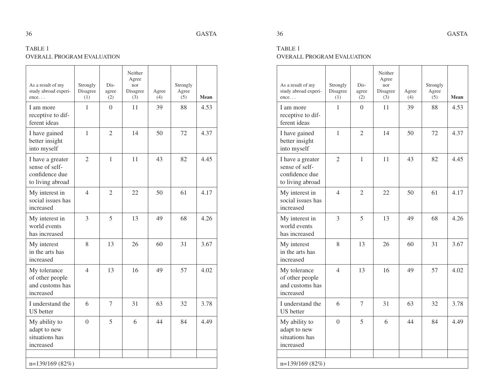# TABLE 1 OVERALL PROGRAM EVALUATION

| As a result of my<br>study abroad experi-<br>ence                        | Strongly<br>Disagree<br>(1) | Dis-<br>agree<br>(2) | Neither<br>Agree<br>nor<br>Disagree<br>(3) | Agree<br>(4) | Strongly<br>Agree<br>(5) | Mean |
|--------------------------------------------------------------------------|-----------------------------|----------------------|--------------------------------------------|--------------|--------------------------|------|
| I am more<br>receptive to dif-<br>ferent ideas                           | 1                           | $\overline{0}$       | 11                                         | 39           | 88                       | 4.53 |
| I have gained<br>better insight<br>into myself                           | $\mathbf{1}$                | $\mathfrak{2}$       | 14                                         | 50           | 72                       | 4.37 |
| I have a greater<br>sense of self-<br>confidence due<br>to living abroad | $\overline{2}$              | $\mathbf{1}$         | 11                                         | 43           | 82                       | 4.45 |
| My interest in<br>social issues has<br>increased                         | 4                           | 2                    | 22                                         | 50           | 61                       | 4.17 |
| My interest in<br>world events<br>has increased                          | 3                           | 5                    | 13                                         | 49           | 68                       | 4.26 |
| My interest<br>in the arts has<br>increased                              | 8                           | 13                   | 26                                         | 60           | 31                       | 3.67 |
| My tolerance<br>of other people<br>and customs has<br>increased          | 4                           | 13                   | 16                                         | 49           | 57                       | 4.02 |
| I understand the<br><b>US</b> better                                     | 6                           | $\tau$               | 31                                         | 63           | 32                       | 3.78 |
| My ability to<br>adapt to new<br>situations has<br>increased             | $\theta$                    | 5                    | 6                                          | 44           | 84                       | 4.49 |
| n=139/169 (82%)                                                          |                             |                      |                                            |              |                          |      |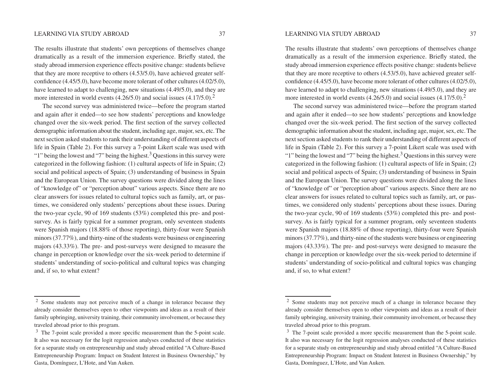The results illustrate that students' own perceptions of themselves change dramatically as a result of the immersion experience. Briefly stated, the study abroad immersion experience effects positive change: students believe that they are more receptive to others (4.53/5.0), have achieved greater selfconfidence  $(4.45/5.0)$ , have become more tolerant of other cultures  $(4.02/5.0)$ , have learned to adapt to challenging, new situations (4.49/5.0), and they are more interested in world events  $(4.26/5.0)$  and social issues  $(4.17/5.0)$ .<sup>2</sup>

The second survey was administered twice—before the program started and again after it ended—to see how students' perceptions and knowledge changed over the six-week period. The first section of the survey collected demographic information about the student, including age, major, sex, etc. The next section asked students to rank their understanding of different aspects of life in Spain (Table 2). For this survey a 7-point Likert scale was used with "1" being the lowest and "7" being the highest.<sup>3</sup> Questions in this survey were categorized in the following fashion: (1) cultural aspects of life in Spain; (2) social and political aspects of Spain; (3) understanding of business in Spain and the European Union. The survey questions were divided along the lines of "knowledge of" or "perception about" various aspects. Since there are no clear answers for issues related to cultural topics such as family, art, or pastimes, we considered only students' perceptions about these issues. During the two-year cycle, 90 of 169 students (53%) completed this pre- and postsurvey. As is fairly typical for a summer program, only seventeen students were Spanish majors (18.88% of those reporting), thirty-four were Spanish minors (37.77%), and thirty-nine of the students were business or engineering majors (43.33%). The pre- and post-surveys were designed to measure the change in perception or knowledge over the six-week period to determine if students' understanding of socio-political and cultural topics was changing and, if so, to what extent?

<sup>2</sup> Some students may not perceive much of a change in tolerance because they already consider themselves open to other viewpoints and ideas as a result of their family upbringing, university training, their community involvement, or because they traveled abroad prior to this program.

 $3$  The 7-point scale provided a more specific measurement than the 5-point scale. It also was necessary for the logit regression analyses conducted of these statistics for a separate study on entrepreneurship and study abroad entitled "A Culture-Based Entrepreneurship Program: Impact on Student Interest in Business Ownership," by Gasta, Domínguez, L'Hote, and Van Auken.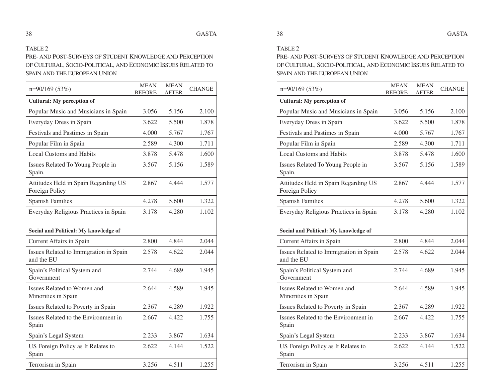#### TABLE 2

PRE- AND POST-SURVEYS OF STUDENT KNOWLEDGE AND PERCEPTION OF CULTURAL, SOCIO-POLITICAL, AND ECONOMIC ISSUES RELATED TO SPAIN AND THE EUROPEAN UNION

| $n=90/169(53%)$                                        | <b>MEAN</b><br><b>BEFORE</b> | <b>MEAN</b><br><b>AFTER</b> | <b>CHANGE</b> |
|--------------------------------------------------------|------------------------------|-----------------------------|---------------|
| <b>Cultural:</b> My perception of                      |                              |                             |               |
| Popular Music and Musicians in Spain                   | 3.056                        | 5.156                       | 2.100         |
| Everyday Dress in Spain                                | 3.622                        | 5.500                       | 1.878         |
| Festivals and Pastimes in Spain                        | 4.000                        | 5.767                       | 1.767         |
| Popular Film in Spain                                  | 2.589                        | 4.300                       | 1.711         |
| <b>Local Customs and Habits</b>                        | 3.878                        | 5.478                       | 1.600         |
| Issues Related To Young People in<br>Spain.            | 3.567                        | 5.156                       | 1.589         |
| Attitudes Held in Spain Regarding US<br>Foreign Policy | 2.867                        | 4.444                       | 1.577         |
| <b>Spanish Families</b>                                | 4.278                        | 5.600                       | 1.322         |
| Everyday Religious Practices in Spain                  | 3.178                        | 4.280                       | 1.102         |
|                                                        |                              |                             |               |
| Social and Political: My knowledge of                  |                              |                             |               |
| <b>Current Affairs in Spain</b>                        | 2.800                        | 4.844                       | 2.044         |
| Issues Related to Immigration in Spain<br>and the EU   | 2.578                        | 4.622                       | 2.044         |
| Spain's Political System and<br>Government             | 2.744                        | 4.689                       | 1.945         |
| Issues Related to Women and<br>Minorities in Spain     | 2.644                        | 4.589                       | 1.945         |
| Issues Related to Poverty in Spain                     | 2.367                        | 4.289                       | 1.922         |
| Issues Related to the Environment in<br>Spain          | 2.667                        | 4.422                       | 1.755         |
| Spain's Legal System                                   | 2.233                        | 3.867                       | 1.634         |
| US Foreign Policy as It Relates to<br>Spain            | 2.622                        | 4.144                       | 1.522         |
| Terrorism in Spain                                     | 3.256                        | 4.511                       | 1.255         |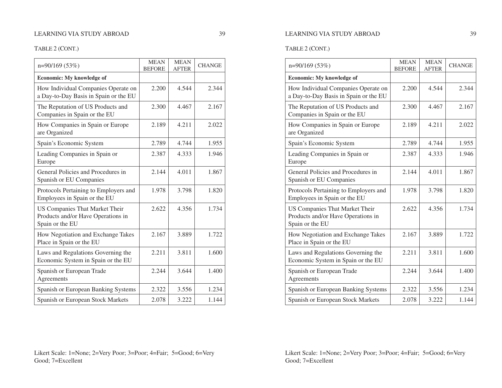# TABLE 2 (CONT.)

| $n=90/169(53%)$                                                                         | <b>MEAN</b><br><b>BEFORE</b> | <b>MEAN</b><br><b>AFTER</b> | <b>CHANGE</b> |
|-----------------------------------------------------------------------------------------|------------------------------|-----------------------------|---------------|
| <b>Economic:</b> My knowledge of                                                        |                              |                             |               |
| How Individual Companies Operate on<br>a Day-to-Day Basis in Spain or the EU            | 2.200                        | 4.544                       | 2.344         |
| The Reputation of US Products and<br>Companies in Spain or the EU                       | 2.300                        | 4.467                       | 2.167         |
| How Companies in Spain or Europe<br>are Organized                                       | 2.189                        | 4.211                       | 2.022         |
| Spain's Economic System                                                                 | 2.789                        | 4.744                       | 1.955         |
| Leading Companies in Spain or<br>Europe                                                 | 2.387                        | 4.333                       | 1.946         |
| General Policies and Procedures in<br>Spanish or EU Companies                           | 2.144                        | 4.011                       | 1.867         |
| Protocols Pertaining to Employers and<br>Employees in Spain or the EU                   | 1.978                        | 3.798                       | 1.820         |
| US Companies That Market Their<br>Products and/or Have Operations in<br>Spain or the EU | 2.622                        | 4.356                       | 1.734         |
| How Negotiation and Exchange Takes<br>Place in Spain or the EU                          | 2.167                        | 3.889                       | 1.722         |
| Laws and Regulations Governing the<br>Economic System in Spain or the EU                | 2.211                        | 3.811                       | 1.600         |
| Spanish or European Trade<br>Agreements                                                 | 2.244                        | 3.644                       | 1.400         |
| Spanish or European Banking Systems                                                     | 2.322                        | 3.556                       | 1.234         |
| Spanish or European Stock Markets                                                       | 2.078                        | 3.222                       | 1.144         |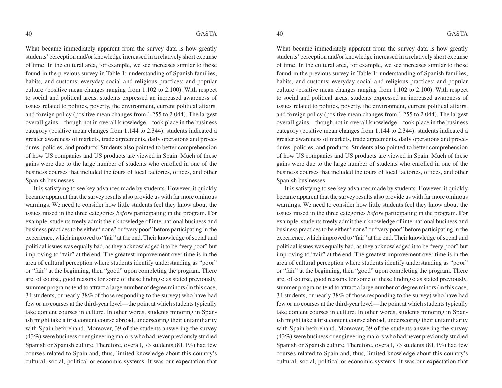What became immediately apparent from the survey data is how greatly students' perception and/or knowledge increased in a relatively short expanse of time. In the cultural area, for example, we see increases similar to those found in the previous survey in Table 1: understanding of Spanish families, habits, and customs; everyday social and religious practices; and popular culture (positive mean changes ranging from 1.102 to 2.100). With respect to social and political areas, students expressed an increased awareness of issues related to politics, poverty, the environment, current political affairs, and foreign policy (positive mean changes from 1.255 to 2.044). The largest overall gains—though not in overall knowledge—took place in the business category (positive mean changes from 1.144 to 2.344): students indicated a greater awareness of markets, trade agreements, daily operations and procedures, policies, and products. Students also pointed to better comprehension of how US companies and US products are viewed in Spain. Much of these gains were due to the large number of students who enrolled in one of the business courses that included the tours of local factories, offices, and other Spanish businesses.

It is satisfying to see key advances made by students. However, it quickly became apparent that the survey results also provide us with far more ominous warnings. We need to consider how little students feel they know about the issues raised in the three categories *before* participating in the program. For example, students freely admit their knowledge of international business and business practices to be either "none" or "very poor" before participating in the experience, which improved to "fair" at the end. Their knowledge of social and political issues was equally bad, as they acknowledged it to be "very poor" but improving to "fair" at the end. The greatest improvement over time is in the area of cultural perception where students identify understanding as "poor" or "fair" at the beginning, then "good" upon completing the program. There are, of course, good reasons for some of these findings: as stated previously, summer programs tend to attract a large number of degree minors (in this case, 34 students, or nearly 38% of those responding to the survey) who have had few or no courses at the third-year level—the point at which students typically take content courses in culture. In other words, students minoring in Spanish might take a first content course abroad, underscoring their unfamiliarity with Spain beforehand. Moreover, 39 of the students answering the survey (43%) were business or engineering majors who had never previously studied Spanish or Spanish culture. Therefore, overall, 73 students (81.1%) had few courses related to Spain and, thus, limited knowledge about this country's cultural, social, political or economic systems. It was our expectation that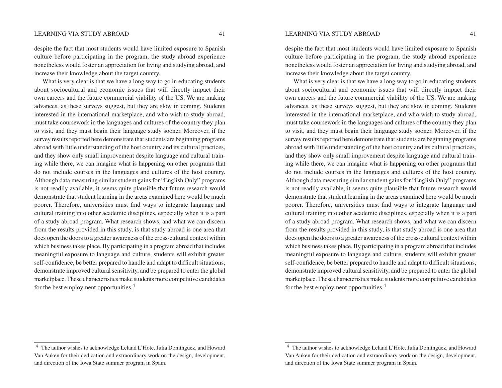despite the fact that most students would have limited exposure to Spanish culture before participating in the program, the study abroad experience nonetheless would foster an appreciation for living and studying abroad, and increase their knowledge about the target country.

What is very clear is that we have a long way to go in educating students about sociocultural and economic issues that will directly impact their own careers and the future commercial viability of the US. We are making advances, as these surveys suggest, but they are slow in coming. Students interested in the international marketplace, and who wish to study abroad, must take coursework in the languages and cultures of the country they plan to visit, and they must begin their language study sooner. Moreover, if the survey results reported here demonstrate that students are beginning programs abroad with little understanding of the host country and its cultural practices, and they show only small improvement despite language and cultural training while there, we can imagine what is happening on other programs that do not include courses in the languages and cultures of the host country. Although data measuring similar student gains for "English Only" programs is not readily available, it seems quite plausible that future research would demonstrate that student learning in the areas examined here would be much poorer. Therefore, universities must find ways to integrate language and cultural training into other academic disciplines, especially when it is a part of a study abroad program. What research shows, and what we can discern from the results provided in this study, is that study abroad is one area that does open the doors to a greater awareness of the cross-cultural context within which business takes place. By participating in a program abroad that includes meaningful exposure to language and culture, students will exhibit greater self-confidence, be better prepared to handle and adapt to difficult situations, demonstrate improved cultural sensitivity, and be prepared to enter the global marketplace. These characteristics make students more competitive candidates for the best employment opportunities.<sup>4</sup>

<sup>4</sup> The author wishes to acknowledge Leland L'Hote, Julia Domínguez, and Howard Van Auken for their dedication and extraordinary work on the design, development, and direction of the Iowa State summer program in Spain.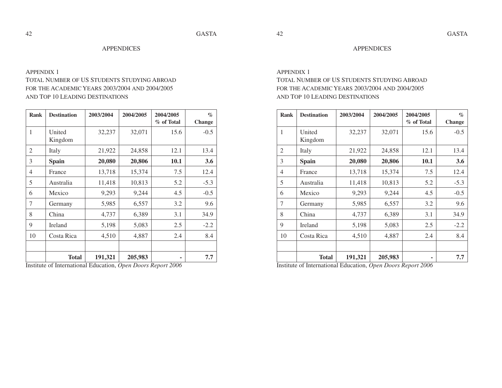#### **APPENDICES**

# APPENDIX 1 TOTAL NUMBER OF US STUDENTS STUDYING ABROAD FOR THE ACADEMIC YEARS 2003/2004 AND 2004/2005 AND TOP 10 LEADING DESTINATIONS

| <b>Rank</b> | <b>Destination</b> | 2003/2004 | 2004/2005 | 2004/2005<br>% of Total | $\%$<br>Change |
|-------------|--------------------|-----------|-----------|-------------------------|----------------|
| 1           | United<br>Kingdom  | 32,237    | 32,071    | 15.6                    | $-0.5$         |
| 2           | Italy              | 21,922    | 24,858    | 12.1                    | 13.4           |
| 3           | Spain              | 20,080    | 20,806    | 10.1                    | 3.6            |
| 4           | France             | 13,718    | 15,374    | 7.5                     | 12.4           |
| 5           | Australia          | 11,418    | 10,813    | 5.2                     | $-5.3$         |
| 6           | Mexico             | 9,293     | 9,244     | 4.5                     | $-0.5$         |
| 7           | Germany            | 5,985     | 6,557     | 3.2                     | 9.6            |
| 8           | China              | 4,737     | 6,389     | 3.1                     | 34.9           |
| 9           | Ireland            | 5,198     | 5,083     | 2.5                     | $-2.2$         |
| 10          | Costa Rica         | 4,510     | 4,887     | 2.4                     | 8.4            |
|             |                    |           |           |                         |                |
|             | <b>Total</b>       | 191,321   | 205,983   | ۰                       | 7.7            |

Institute of International Education, *Open Doors Report 2006*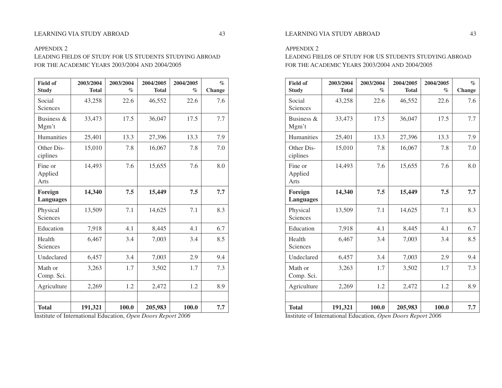### APPENDIX 2

LEADING FIELDS OF STUDY FOR US STUDENTS STUDYING ABROAD FOR THE ACADEMIC YEARS 2003/2004 AND 2004/2005

| <b>Field of</b><br><b>Study</b> | 2003/2004<br><b>Total</b> | 2003/2004<br>$\%$ | 2004/2005<br><b>Total</b> | 2004/2005<br>$\%$ | $\%$<br><b>Change</b> |
|---------------------------------|---------------------------|-------------------|---------------------------|-------------------|-----------------------|
| Social<br>Sciences              | 43,258                    | 22.6              | 46,552                    | 22.6              | 7.6                   |
| Business &<br>Mgm't             | 33,473                    | 17.5              | 36,047                    | 17.5              | 7.7                   |
| <b>Humanities</b>               | 25,401                    | 13.3              | 27,396                    | 13.3              | 7.9                   |
| Other Dis-<br>ciplines          | 15,010                    | 7.8               | 16,067                    | 7.8               | 7.0                   |
| Fine or<br>Applied<br>Arts      | 14,493                    | 7.6               | 15,655                    | 7.6               | 8.0                   |
| Foreign<br><b>Languages</b>     | 14,340                    | 7.5               | 15,449                    | 7.5               | 7.7                   |
| Physical<br>Sciences            | 13,509                    | 7.1               | 14,625                    | 7.1               | 8.3                   |
| Education                       | 7,918                     | 4.1               | 8,445                     | 4.1               | 6.7                   |
| Health<br>Sciences              | 6,467                     | 3.4               | 7,003                     | 3.4               | 8.5                   |
| Undeclared                      | 6,457                     | 3.4               | 7,003                     | 2.9               | 9.4                   |
| Math or<br>Comp. Sci.           | 3,263                     | 1.7               | 3,502                     | 1.7               | 7.3                   |
| Agriculture                     | 2,269                     | 1.2               | 2,472                     | 1.2               | 8.9                   |
|                                 |                           |                   |                           |                   |                       |
| <b>Total</b>                    | 191,321                   | 100.0             | 205,983                   | 100.0             | 7.7                   |

Institute of International Education, *Open Doors Report 2006*